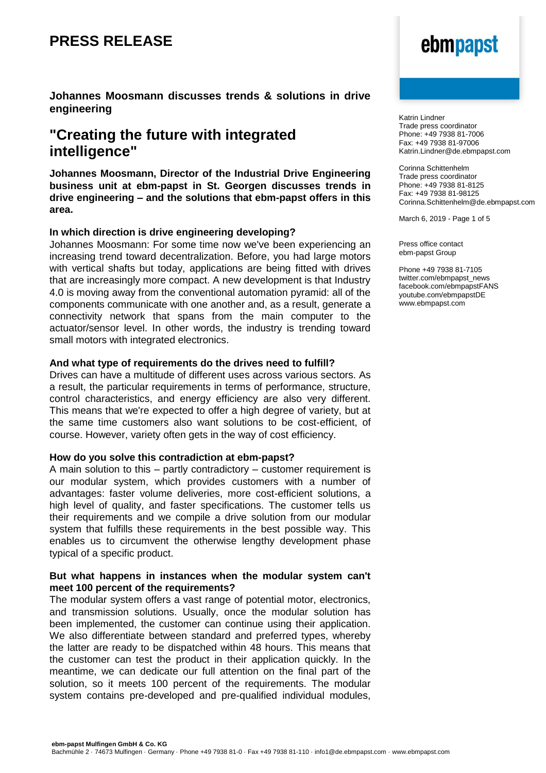**Johannes Moosmann discusses trends & solutions in drive engineering**

### **"Creating the future with integrated intelligence"**

**Johannes Moosmann, Director of the Industrial Drive Engineering business unit at ebm-papst in St. Georgen discusses trends in drive engineering – and the solutions that ebm-papst offers in this area.**

### **In which direction is drive engineering developing?**

Johannes Moosmann: For some time now we've been experiencing an increasing trend toward decentralization. Before, you had large motors with vertical shafts but today, applications are being fitted with drives that are increasingly more compact. A new development is that Industry 4.0 is moving away from the conventional automation pyramid: all of the components communicate with one another and, as a result, generate a connectivity network that spans from the main computer to the actuator/sensor level. In other words, the industry is trending toward small motors with integrated electronics.

### **And what type of requirements do the drives need to fulfill?**

Drives can have a multitude of different uses across various sectors. As a result, the particular requirements in terms of performance, structure, control characteristics, and energy efficiency are also very different. This means that we're expected to offer a high degree of variety, but at the same time customers also want solutions to be cost-efficient, of course. However, variety often gets in the way of cost efficiency.

### **How do you solve this contradiction at ebm-papst?**

A main solution to this – partly contradictory – customer requirement is our modular system, which provides customers with a number of advantages: faster volume deliveries, more cost-efficient solutions, a high level of quality, and faster specifications. The customer tells us their requirements and we compile a drive solution from our modular system that fulfills these requirements in the best possible way. This enables us to circumvent the otherwise lengthy development phase typical of a specific product.

### **But what happens in instances when the modular system can't meet 100 percent of the requirements?**

The modular system offers a vast range of potential motor, electronics, and transmission solutions. Usually, once the modular solution has been implemented, the customer can continue using their application. We also differentiate between standard and preferred types, whereby the latter are ready to be dispatched within 48 hours. This means that the customer can test the product in their application quickly. In the meantime, we can dedicate our full attention on the final part of the solution, so it meets 100 percent of the requirements. The modular system contains pre-developed and pre-qualified individual modules,

# ebmpapst

Katrin Lindner Trade press coordinator Phone: +49 7938 81-7006 Fax: +49 7938 81-97006 Katrin.Lindner@de.ebmpapst.com

Corinna Schittenhelm Trade press coordinator Phone: +49 7938 81-8125 Fax: +49 7938 81-98125 Corinna.Schittenhelm@de.ebmpapst.com

March 6, 2019 - Page 1 of 5

Press office contact ebm-papst Group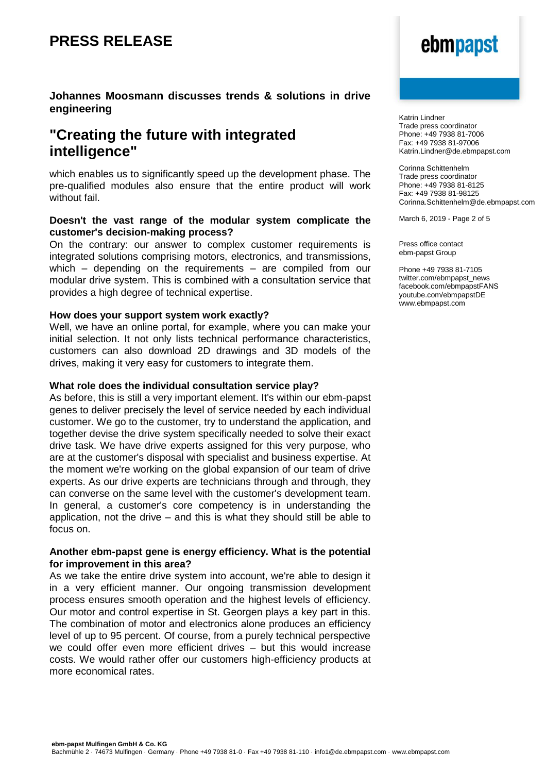### **Johannes Moosmann discusses trends & solutions in drive engineering**

### **"Creating the future with integrated intelligence"**

which enables us to significantly speed up the development phase. The pre-qualified modules also ensure that the entire product will work without fail.

### **Doesn't the vast range of the modular system complicate the customer's decision-making process?**

On the contrary: our answer to complex customer requirements is integrated solutions comprising motors, electronics, and transmissions, which – depending on the requirements – are compiled from our modular drive system. This is combined with a consultation service that provides a high degree of technical expertise.

### **How does your support system work exactly?**

Well, we have an online portal, for example, where you can make your initial selection. It not only lists technical performance characteristics, customers can also download 2D drawings and 3D models of the drives, making it very easy for customers to integrate them.

### **What role does the individual consultation service play?**

As before, this is still a very important element. It's within our ebm-papst genes to deliver precisely the level of service needed by each individual customer. We go to the customer, try to understand the application, and together devise the drive system specifically needed to solve their exact drive task. We have drive experts assigned for this very purpose, who are at the customer's disposal with specialist and business expertise. At the moment we're working on the global expansion of our team of drive experts. As our drive experts are technicians through and through, they can converse on the same level with the customer's development team. In general, a customer's core competency is in understanding the application, not the drive – and this is what they should still be able to focus on.

### **Another ebm-papst gene is energy efficiency. What is the potential for improvement in this area?**

As we take the entire drive system into account, we're able to design it in a very efficient manner. Our ongoing transmission development process ensures smooth operation and the highest levels of efficiency. Our motor and control expertise in St. Georgen plays a key part in this. The combination of motor and electronics alone produces an efficiency level of up to 95 percent. Of course, from a purely technical perspective we could offer even more efficient drives – but this would increase costs. We would rather offer our customers high-efficiency products at more economical rates.

# ebmpapst

Katrin Lindner Trade press coordinator Phone: +49 7938 81-7006 Fax: +49 7938 81-97006 Katrin.Lindner@de.ebmpapst.com

Corinna Schittenhelm Trade press coordinator Phone: +49 7938 81-8125 Fax: +49 7938 81-98125 Corinna.Schittenhelm@de.ebmpapst.com

March 6, 2019 - Page 2 of 5

Press office contact ebm-papst Group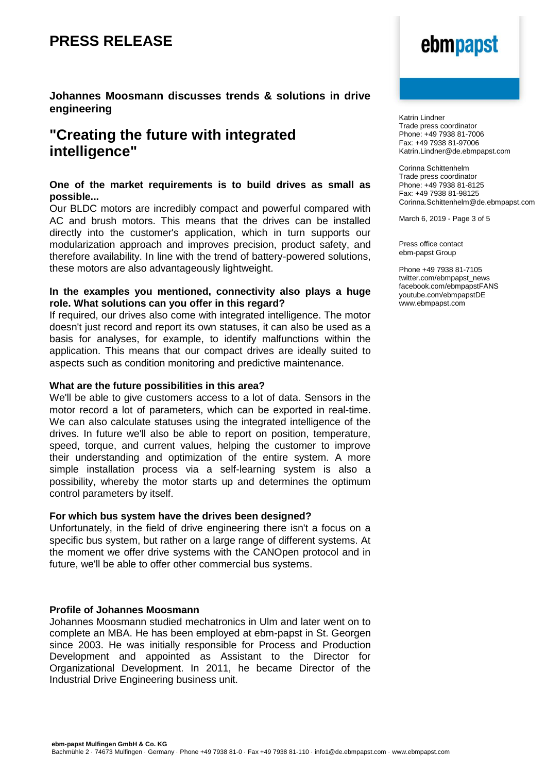### **Johannes Moosmann discusses trends & solutions in drive engineering**

### **"Creating the future with integrated intelligence"**

### **One of the market requirements is to build drives as small as possible...**

Our BLDC motors are incredibly compact and powerful compared with AC and brush motors. This means that the drives can be installed directly into the customer's application, which in turn supports our modularization approach and improves precision, product safety, and therefore availability. In line with the trend of battery-powered solutions, these motors are also advantageously lightweight.

### **In the examples you mentioned, connectivity also plays a huge role. What solutions can you offer in this regard?**

If required, our drives also come with integrated intelligence. The motor doesn't just record and report its own statuses, it can also be used as a basis for analyses, for example, to identify malfunctions within the application. This means that our compact drives are ideally suited to aspects such as condition monitoring and predictive maintenance.

### **What are the future possibilities in this area?**

We'll be able to give customers access to a lot of data. Sensors in the motor record a lot of parameters, which can be exported in real-time. We can also calculate statuses using the integrated intelligence of the drives. In future we'll also be able to report on position, temperature, speed, torque, and current values, helping the customer to improve their understanding and optimization of the entire system. A more simple installation process via a self-learning system is also a possibility, whereby the motor starts up and determines the optimum control parameters by itself.

### **For which bus system have the drives been designed?**

Unfortunately, in the field of drive engineering there isn't a focus on a specific bus system, but rather on a large range of different systems. At the moment we offer drive systems with the CANOpen protocol and in future, we'll be able to offer other commercial bus systems.

### **Profile of Johannes Moosmann**

Johannes Moosmann studied mechatronics in Ulm and later went on to complete an MBA. He has been employed at ebm-papst in St. Georgen since 2003. He was initially responsible for Process and Production Development and appointed as Assistant to the Director for Organizational Development. In 2011, he became Director of the Industrial Drive Engineering business unit.

# ebmpapst

Katrin Lindner Trade press coordinator Phone: +49 7938 81-7006 Fax: +49 7938 81-97006 Katrin.Lindner@de.ebmpapst.com

Corinna Schittenhelm Trade press coordinator Phone: +49 7938 81-8125 Fax: +49 7938 81-98125 Corinna.Schittenhelm@de.ebmpapst.com

March 6, 2019 - Page 3 of 5

Press office contact ebm-papst Group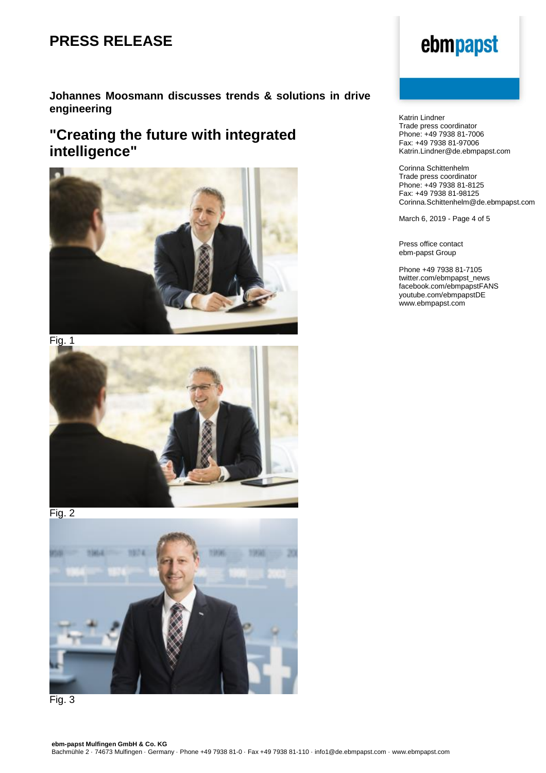### **Johannes Moosmann discusses trends & solutions in drive engineering**

## **"Creating the future with integrated intelligence"**





Fig. 2





# ebmpapst

Katrin Lindner Trade press coordinator Phone: +49 7938 81-7006 Fax: +49 7938 81-97006 Katrin.Lindner@de.ebmpapst.com

Corinna Schittenhelm Trade press coordinator Phone: +49 7938 81-8125 Fax: +49 7938 81-98125 Corinna.Schittenhelm@de.ebmpapst.com

March 6, 2019 - Page 4 of 5

Press office contact ebm-papst Group